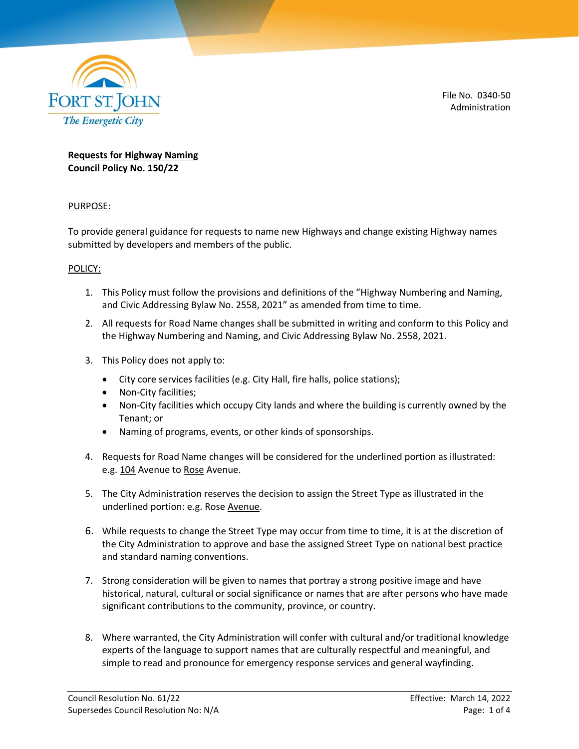

File No. 0340-50 Administration

## **Requests for Highway Naming Council Policy No. 150/22**

# PURPOSE:

To provide general guidance for requests to name new Highways and change existing Highway names submitted by developers and members of the public.

### POLICY:

- 1. This Policy must follow the provisions and definitions of the "Highway Numbering and Naming, and Civic Addressing Bylaw No. 2558, 2021" as amended from time to time.
- 2. All requests for Road Name changes shall be submitted in writing and conform to this Policy and the Highway Numbering and Naming, and Civic Addressing Bylaw No. 2558, 2021.
- 3. This Policy does not apply to:
	- City core services facilities (e.g. City Hall, fire halls, police stations);
	- Non-City facilities;
	- Non-City facilities which occupy City lands and where the building is currently owned by the Tenant; or
	- Naming of programs, events, or other kinds of sponsorships.
- 4. Requests for Road Name changes will be considered for the underlined portion as illustrated: e.g. 104 Avenue to Rose Avenue.
- 5. The City Administration reserves the decision to assign the Street Type as illustrated in the underlined portion: e.g. Rose Avenue.
- 6. While requests to change the Street Type may occur from time to time, it is at the discretion of the City Administration to approve and base the assigned Street Type on national best practice and standard naming conventions.
- 7. Strong consideration will be given to names that portray a strong positive image and have historical, natural, cultural or social significance or names that are after persons who have made significant contributions to the community, province, or country.
- 8. Where warranted, the City Administration will confer with cultural and/or traditional knowledge experts of the language to support names that are culturally respectful and meaningful, and simple to read and pronounce for emergency response services and general wayfinding.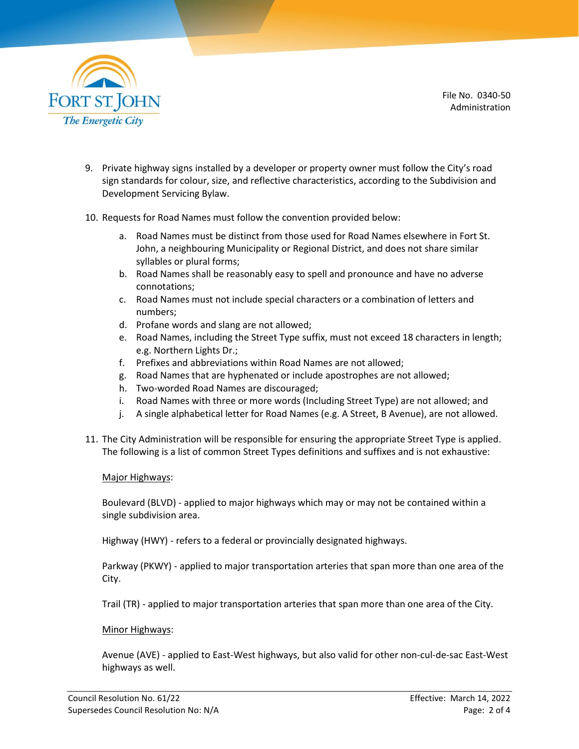

File No. 0340-50 Administration

- 9. Private highway signs installed by a developer or property owner must follow the City's road sign standards for colour, size, and reflective characteristics, according to the Subdivision and Development Servicing Bylaw.
- 10. Requests for Road Names must follow the convention provided below:
	- a. Road Names must be distinct from those used for Road Names elsewhere in Fort St. John, a neighbouring Municipality or Regional District, and does not share similar syllables or plural forms;
	- b. Road Names shall be reasonably easy to spell and pronounce and have no adverse connotations;
	- c. Road Names must not include special characters or a combination of letters and numbers;
	- d. Profane words and slang are not allowed;
	- e. Road Names, including the Street Type suffix, must not exceed 18 characters in length; e.g. Northern Lights Dr.;
	- f. Prefixes and abbreviations within Road Names are not allowed;
	- g. Road Names that are hyphenated or include apostrophes are not allowed;
	- h. Two-worded Road Names are discouraged;
	- i. Road Names with three or more words (Including Street Type) are not allowed; and
	- j. A single alphabetical letter for Road Names (e.g. A Street, B Avenue), are not allowed.
- 11. The City Administration will be responsible for ensuring the appropriate Street Type is applied. The following is a list of common Street Types definitions and suffixes and is not exhaustive:

#### Major Highways:

Boulevard (BLVD) - applied to major highways which may or may not be contained within a single subdivision area.

Highway (HWY) - refers to a federal or provincially designated highways.

Parkway (PKWY) - applied to major transportation arteries that span more than one area of the City.

Trail (TR) - applied to major transportation arteries that span more than one area of the City.

#### Minor Highways:

Avenue (AVE) - applied to East-West highways, but also valid for other non-cul-de-sac East-West highways as well.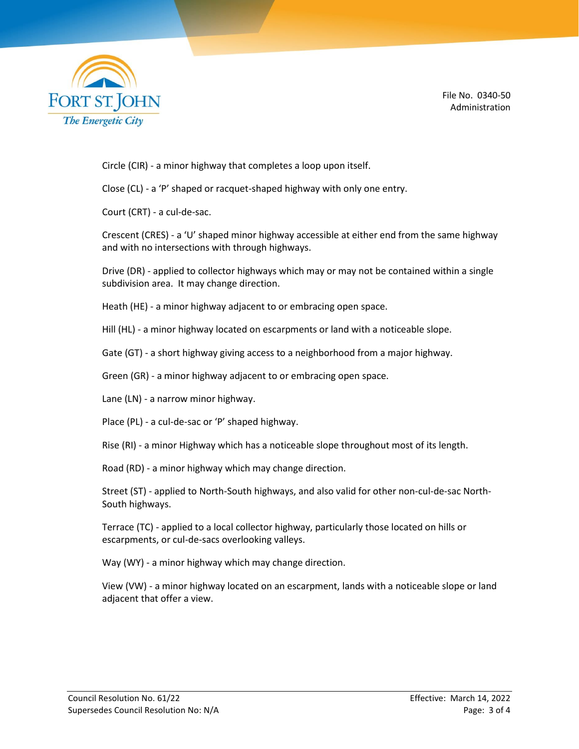

File No. 0340-50 Administration

Circle (CIR) - a minor highway that completes a loop upon itself.

Close (CL) - a 'P' shaped or racquet-shaped highway with only one entry.

Court (CRT) - a cul-de-sac.

Crescent (CRES) - a 'U' shaped minor highway accessible at either end from the same highway and with no intersections with through highways.

Drive (DR) - applied to collector highways which may or may not be contained within a single subdivision area. It may change direction.

Heath (HE) - a minor highway adjacent to or embracing open space.

Hill (HL) - a minor highway located on escarpments or land with a noticeable slope.

Gate (GT) - a short highway giving access to a neighborhood from a major highway.

Green (GR) - a minor highway adjacent to or embracing open space.

Lane (LN) - a narrow minor highway.

Place (PL) - a cul-de-sac or 'P' shaped highway.

Rise (RI) - a minor Highway which has a noticeable slope throughout most of its length.

Road (RD) - a minor highway which may change direction.

Street (ST) - applied to North-South highways, and also valid for other non-cul-de-sac North-South highways.

Terrace (TC) - applied to a local collector highway, particularly those located on hills or escarpments, or cul-de-sacs overlooking valleys.

Way (WY) - a minor highway which may change direction.

View (VW) - a minor highway located on an escarpment, lands with a noticeable slope or land adjacent that offer a view.